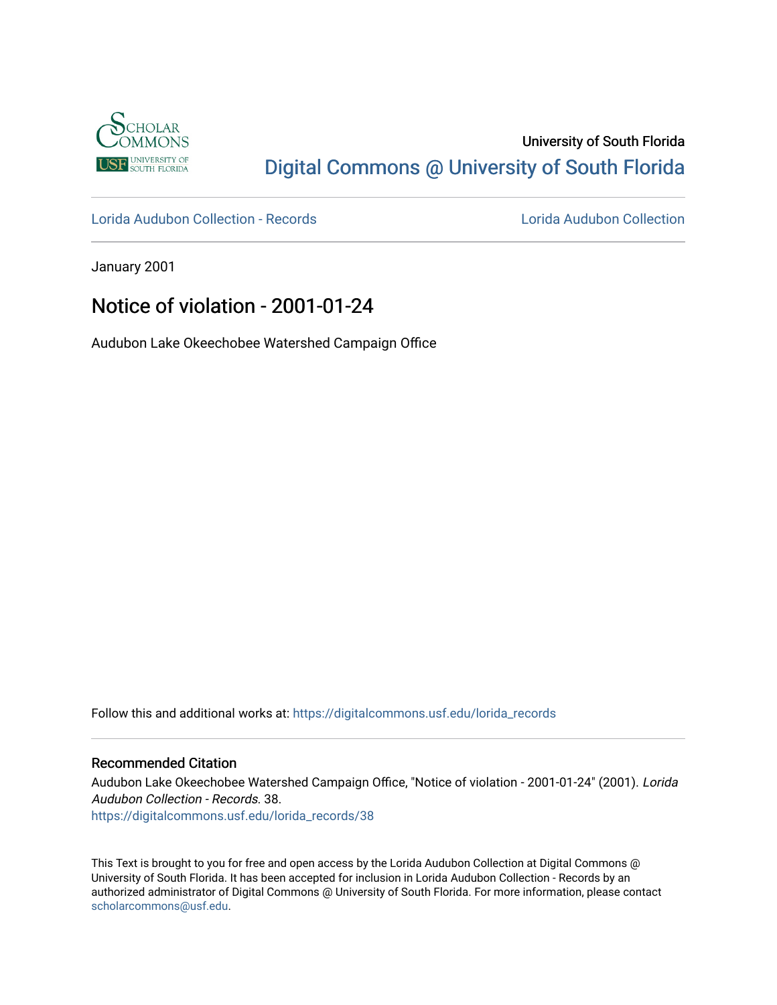

# University of South Florida [Digital Commons @ University of South Florida](https://digitalcommons.usf.edu/)

[Lorida Audubon Collection - Records](https://digitalcommons.usf.edu/lorida_records) [Lorida Audubon Collection](https://digitalcommons.usf.edu/lorida) 

January 2001

# Notice of violation - 2001-01-24

Audubon Lake Okeechobee Watershed Campaign Office

Follow this and additional works at: [https://digitalcommons.usf.edu/lorida\\_records](https://digitalcommons.usf.edu/lorida_records?utm_source=digitalcommons.usf.edu%2Florida_records%2F38&utm_medium=PDF&utm_campaign=PDFCoverPages)

## Recommended Citation

Audubon Lake Okeechobee Watershed Campaign Office, "Notice of violation - 2001-01-24" (2001). Lorida Audubon Collection - Records. 38. [https://digitalcommons.usf.edu/lorida\\_records/38](https://digitalcommons.usf.edu/lorida_records/38?utm_source=digitalcommons.usf.edu%2Florida_records%2F38&utm_medium=PDF&utm_campaign=PDFCoverPages) 

This Text is brought to you for free and open access by the Lorida Audubon Collection at Digital Commons @ University of South Florida. It has been accepted for inclusion in Lorida Audubon Collection - Records by an authorized administrator of Digital Commons @ University of South Florida. For more information, please contact [scholarcommons@usf.edu.](mailto:scholarcommons@usf.edu)